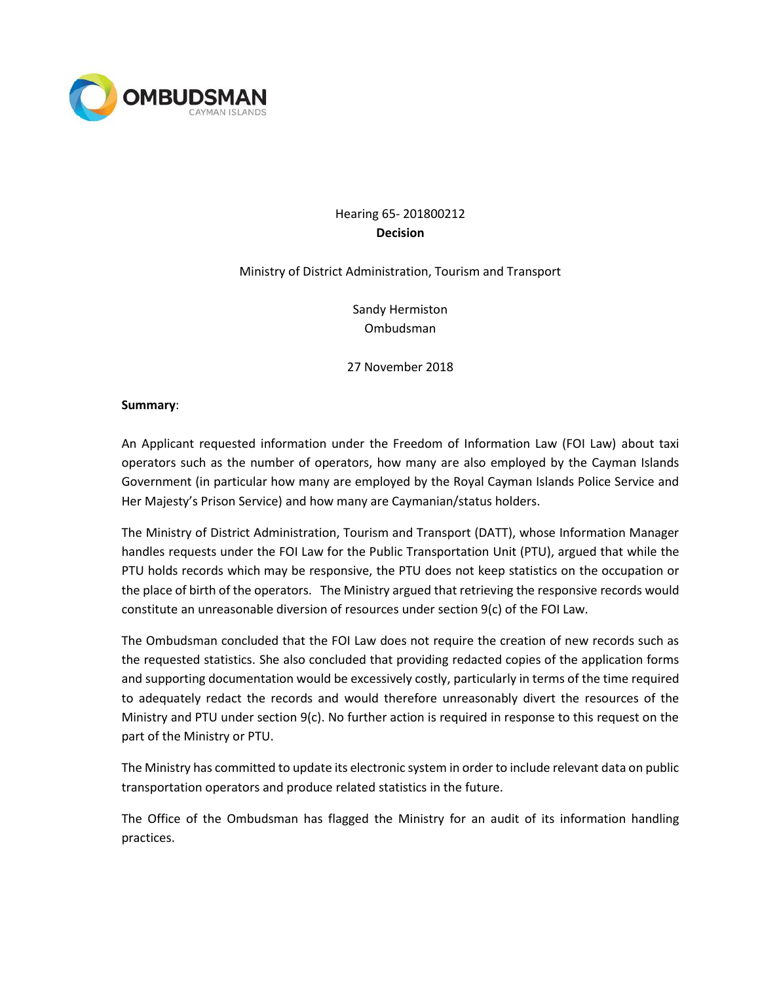

# Hearing 65- 201800212 **Decision**

### Ministry of District Administration, Tourism and Transport

Sandy Hermiston Ombudsman

27 November 2018

### **Summary**:

An Applicant requested information under the Freedom of Information Law (FOI Law) about taxi operators such as the number of operators, how many are also employed by the Cayman Islands Government (in particular how many are employed by the Royal Cayman Islands Police Service and Her Majesty's Prison Service) and how many are Caymanian/status holders.

The Ministry of District Administration, Tourism and Transport (DATT), whose Information Manager handles requests under the FOI Law for the Public Transportation Unit (PTU), argued that while the PTU holds records which may be responsive, the PTU does not keep statistics on the occupation or the place of birth of the operators. The Ministry argued that retrieving the responsive records would constitute an unreasonable diversion of resources under section 9(c) of the FOI Law.

The Ombudsman concluded that the FOI Law does not require the creation of new records such as the requested statistics. She also concluded that providing redacted copies of the application forms and supporting documentation would be excessively costly, particularly in terms of the time required to adequately redact the records and would therefore unreasonably divert the resources of the Ministry and PTU under section 9(c). No further action is required in response to this request on the part of the Ministry or PTU.

The Ministry has committed to update its electronic system in order to include relevant data on public transportation operators and produce related statistics in the future.

The Office of the Ombudsman has flagged the Ministry for an audit of its information handling practices.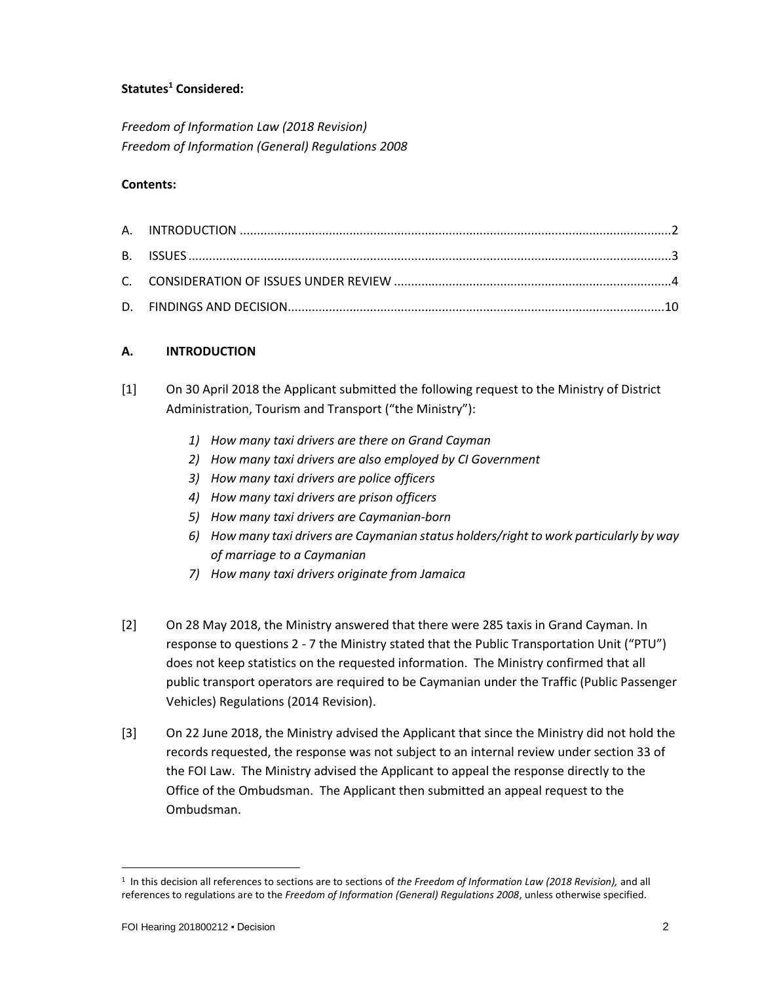## **Statutes<sup>1</sup> Considered:**

*Freedom of Information Law (2018 Revision) Freedom of Information (General) Regulations 2008*

#### **Contents:**

### **A. INTRODUCTION**

- [1] On 30 April 2018 the Applicant submitted the following request to the Ministry of District Administration, Tourism and Transport ("the Ministry"):
	- *1) How many taxi drivers are there on Grand Cayman*
	- *2) How many taxi drivers are also employed by CI Government*
	- *3) How many taxi drivers are police officers*
	- *4) How many taxi drivers are prison officers*
	- *5) How many taxi drivers are Caymanian-born*
	- *6) How many taxi drivers are Caymanian status holders/right to work particularly by way of marriage to a Caymanian*
	- *7) How many taxi drivers originate from Jamaica*
- [2] On 28 May 2018, the Ministry answered that there were 285 taxis in Grand Cayman. In response to questions 2 - 7 the Ministry stated that the Public Transportation Unit ("PTU") does not keep statistics on the requested information. The Ministry confirmed that all public transport operators are required to be Caymanian under the Traffic (Public Passenger Vehicles) Regulations (2014 Revision).
- [3] On 22 June 2018, the Ministry advised the Applicant that since the Ministry did not hold the records requested, the response was not subject to an internal review under section 33 of the FOI Law. The Ministry advised the Applicant to appeal the response directly to the Office of the Ombudsman. The Applicant then submitted an appeal request to the Ombudsman.

 $\overline{a}$ 

<sup>1</sup> In this decision all references to sections are to sections of *the Freedom of Information Law (2018 Revision),* and all references to regulations are to the *Freedom of Information (General) Regulations 2008*, unless otherwise specified.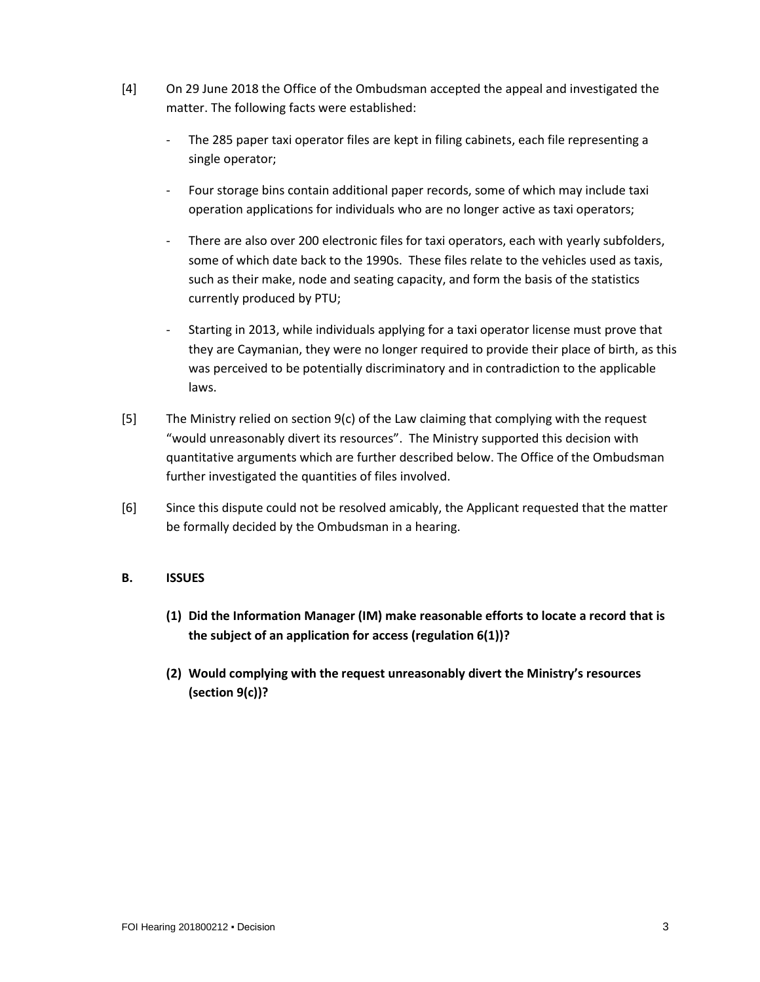- [4] On 29 June 2018 the Office of the Ombudsman accepted the appeal and investigated the matter. The following facts were established:
	- The 285 paper taxi operator files are kept in filing cabinets, each file representing a single operator;
	- Four storage bins contain additional paper records, some of which may include taxi operation applications for individuals who are no longer active as taxi operators;
	- There are also over 200 electronic files for taxi operators, each with yearly subfolders, some of which date back to the 1990s. These files relate to the vehicles used as taxis, such as their make, node and seating capacity, and form the basis of the statistics currently produced by PTU;
	- Starting in 2013, while individuals applying for a taxi operator license must prove that they are Caymanian, they were no longer required to provide their place of birth, as this was perceived to be potentially discriminatory and in contradiction to the applicable laws.
- [5] The Ministry relied on section  $9(c)$  of the Law claiming that complying with the request "would unreasonably divert its resources". The Ministry supported this decision with quantitative arguments which are further described below. The Office of the Ombudsman further investigated the quantities of files involved.
- [6] Since this dispute could not be resolved amicably, the Applicant requested that the matter be formally decided by the Ombudsman in a hearing.

## **B. ISSUES**

- **(1) Did the Information Manager (IM) make reasonable efforts to locate a record that is the subject of an application for access (regulation 6(1))?**
- **(2) Would complying with the request unreasonably divert the Ministry's resources (section 9(c))?**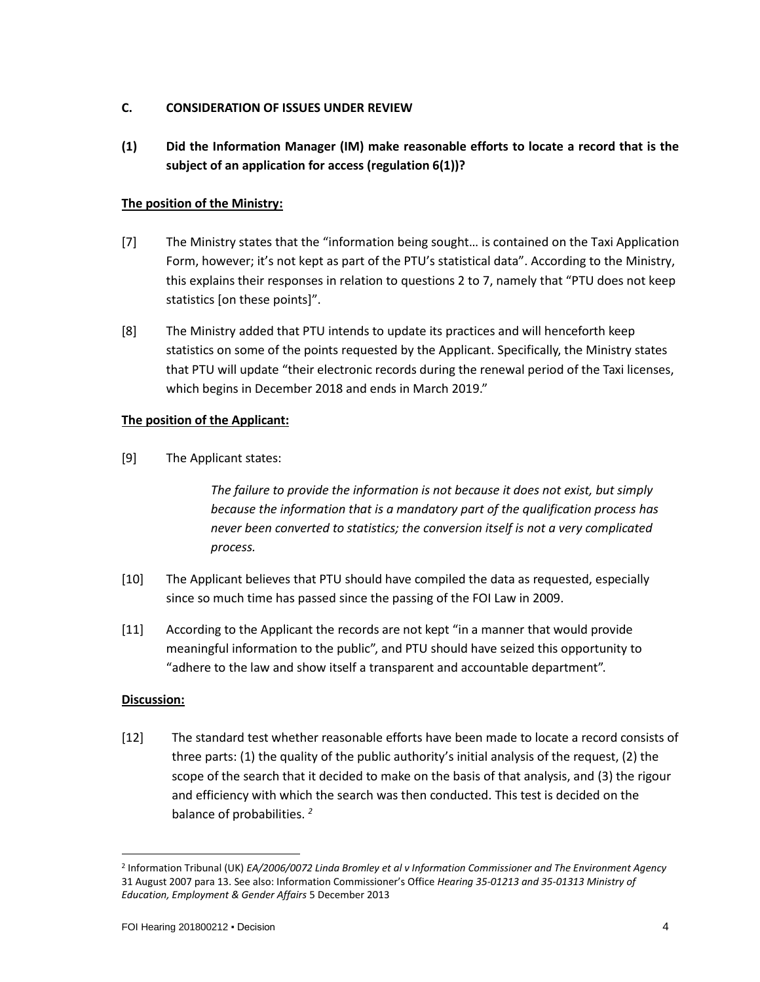### **C. CONSIDERATION OF ISSUES UNDER REVIEW**

**(1) Did the Information Manager (IM) make reasonable efforts to locate a record that is the subject of an application for access (regulation 6(1))?**

### **The position of the Ministry:**

- [7] The Ministry states that the "information being sought… is contained on the Taxi Application Form, however; it's not kept as part of the PTU's statistical data". According to the Ministry, this explains their responses in relation to questions 2 to 7, namely that "PTU does not keep statistics [on these points]".
- [8] The Ministry added that PTU intends to update its practices and will henceforth keep statistics on some of the points requested by the Applicant. Specifically, the Ministry states that PTU will update "their electronic records during the renewal period of the Taxi licenses, which begins in December 2018 and ends in March 2019."

### **The position of the Applicant:**

[9] The Applicant states:

*The failure to provide the information is not because it does not exist, but simply because the information that is a mandatory part of the qualification process has never been converted to statistics; the conversion itself is not a very complicated process.*

- [10] The Applicant believes that PTU should have compiled the data as requested, especially since so much time has passed since the passing of the FOI Law in 2009.
- [11] According to the Applicant the records are not kept "in a manner that would provide meaningful information to the public", and PTU should have seized this opportunity to "adhere to the law and show itself a transparent and accountable department".

#### **Discussion:**

 $\overline{\phantom{a}}$ 

[12] The standard test whether reasonable efforts have been made to locate a record consists of three parts: (1) the quality of the public authority's initial analysis of the request, (2) the scope of the search that it decided to make on the basis of that analysis, and (3) the rigour and efficiency with which the search was then conducted. This test is decided on the balance of probabilities. *<sup>2</sup>*

<sup>2</sup> Information Tribunal (UK) *EA/2006/0072 Linda Bromley et al v Information Commissioner and The Environment Agency*  31 August 2007 para 13. See also: Information Commissioner's Office *Hearing 35-01213 and 35-01313 Ministry of Education, Employment & Gender Affairs* 5 December 2013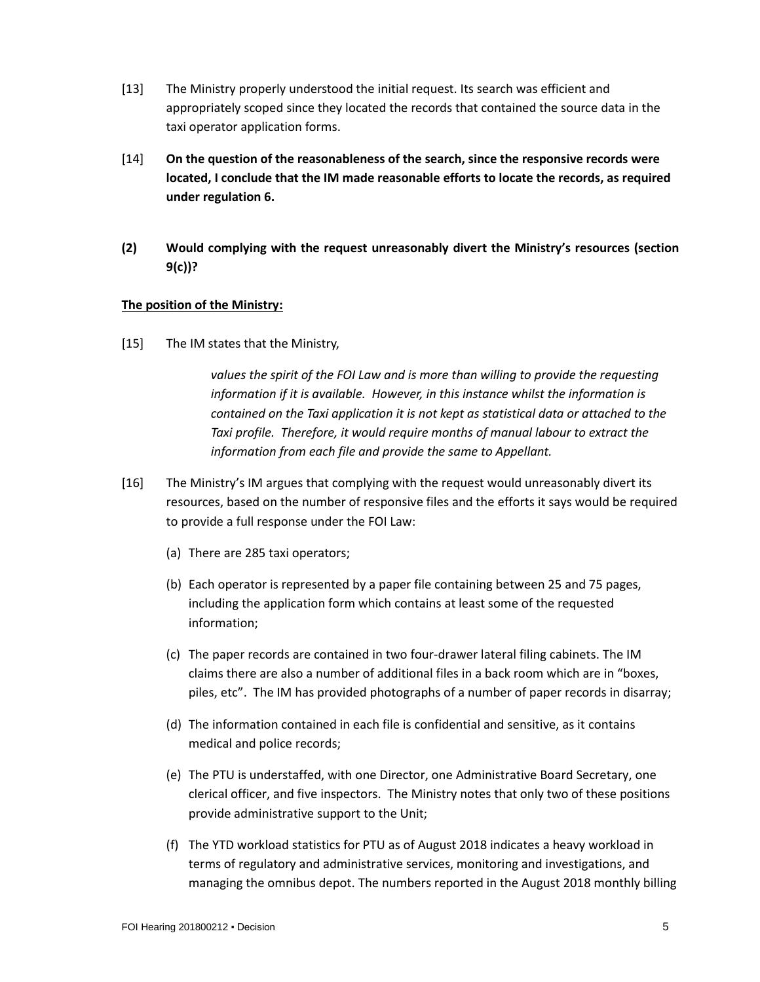- [13] The Ministry properly understood the initial request. Its search was efficient and appropriately scoped since they located the records that contained the source data in the taxi operator application forms.
- [14] **On the question of the reasonableness of the search, since the responsive records were located, I conclude that the IM made reasonable efforts to locate the records, as required under regulation 6.**
- **(2) Would complying with the request unreasonably divert the Ministry's resources (section 9(c))?**

### **The position of the Ministry:**

[15] The IM states that the Ministry,

*values the spirit of the FOI Law and is more than willing to provide the requesting information if it is available. However, in this instance whilst the information is contained on the Taxi application it is not kept as statistical data or attached to the Taxi profile. Therefore, it would require months of manual labour to extract the information from each file and provide the same to Appellant.*

- [16] The Ministry's IM argues that complying with the request would unreasonably divert its resources, based on the number of responsive files and the efforts it says would be required to provide a full response under the FOI Law:
	- (a) There are 285 taxi operators;
	- (b) Each operator is represented by a paper file containing between 25 and 75 pages, including the application form which contains at least some of the requested information;
	- (c) The paper records are contained in two four-drawer lateral filing cabinets. The IM claims there are also a number of additional files in a back room which are in "boxes, piles, etc". The IM has provided photographs of a number of paper records in disarray;
	- (d) The information contained in each file is confidential and sensitive, as it contains medical and police records;
	- (e) The PTU is understaffed, with one Director, one Administrative Board Secretary, one clerical officer, and five inspectors. The Ministry notes that only two of these positions provide administrative support to the Unit;
	- (f) The YTD workload statistics for PTU as of August 2018 indicates a heavy workload in terms of regulatory and administrative services, monitoring and investigations, and managing the omnibus depot. The numbers reported in the August 2018 monthly billing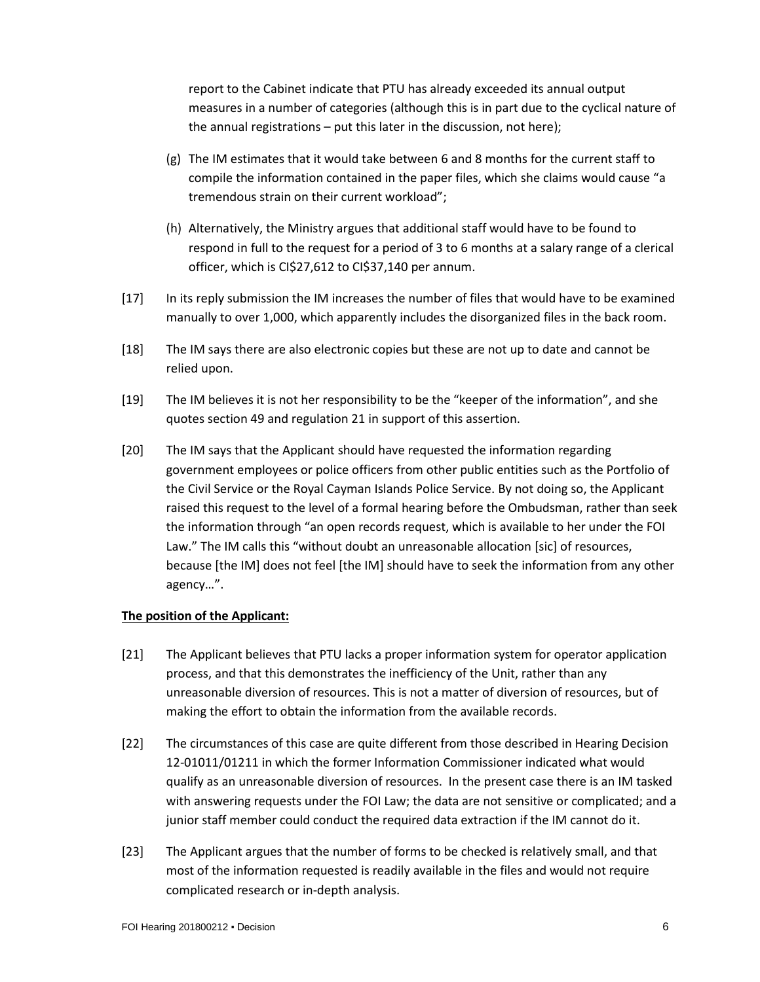report to the Cabinet indicate that PTU has already exceeded its annual output measures in a number of categories (although this is in part due to the cyclical nature of the annual registrations – put this later in the discussion, not here);

- (g) The IM estimates that it would take between 6 and 8 months for the current staff to compile the information contained in the paper files, which she claims would cause "a tremendous strain on their current workload";
- (h) Alternatively, the Ministry argues that additional staff would have to be found to respond in full to the request for a period of 3 to 6 months at a salary range of a clerical officer, which is CI\$27,612 to CI\$37,140 per annum.
- [17] In its reply submission the IM increases the number of files that would have to be examined manually to over 1,000, which apparently includes the disorganized files in the back room.
- [18] The IM says there are also electronic copies but these are not up to date and cannot be relied upon.
- [19] The IM believes it is not her responsibility to be the "keeper of the information", and she quotes section 49 and regulation 21 in support of this assertion.
- [20] The IM says that the Applicant should have requested the information regarding government employees or police officers from other public entities such as the Portfolio of the Civil Service or the Royal Cayman Islands Police Service. By not doing so, the Applicant raised this request to the level of a formal hearing before the Ombudsman, rather than seek the information through "an open records request, which is available to her under the FOI Law." The IM calls this "without doubt an unreasonable allocation [sic] of resources, because [the IM] does not feel [the IM] should have to seek the information from any other agency…".

#### **The position of the Applicant:**

- [21] The Applicant believes that PTU lacks a proper information system for operator application process, and that this demonstrates the inefficiency of the Unit, rather than any unreasonable diversion of resources. This is not a matter of diversion of resources, but of making the effort to obtain the information from the available records.
- [22] The circumstances of this case are quite different from those described in Hearing Decision 12-01011/01211 in which the former Information Commissioner indicated what would qualify as an unreasonable diversion of resources. In the present case there is an IM tasked with answering requests under the FOI Law; the data are not sensitive or complicated; and a junior staff member could conduct the required data extraction if the IM cannot do it.
- [23] The Applicant argues that the number of forms to be checked is relatively small, and that most of the information requested is readily available in the files and would not require complicated research or in-depth analysis.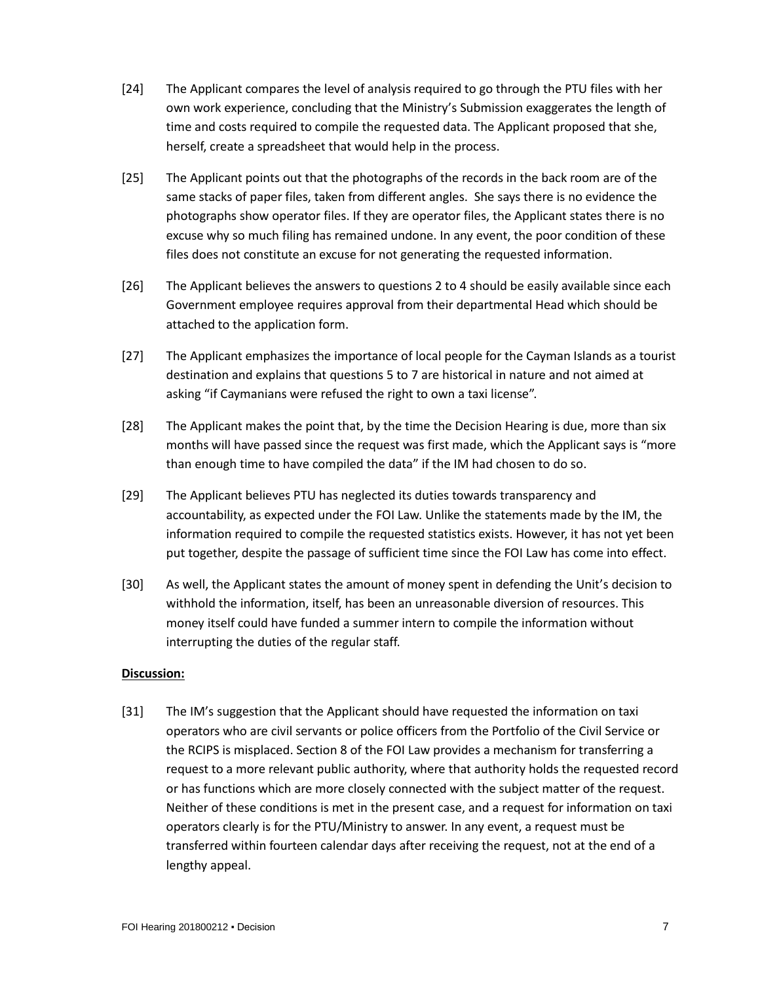- [24] The Applicant compares the level of analysis required to go through the PTU files with her own work experience, concluding that the Ministry's Submission exaggerates the length of time and costs required to compile the requested data. The Applicant proposed that she, herself, create a spreadsheet that would help in the process.
- [25] The Applicant points out that the photographs of the records in the back room are of the same stacks of paper files, taken from different angles. She says there is no evidence the photographs show operator files. If they are operator files, the Applicant states there is no excuse why so much filing has remained undone. In any event, the poor condition of these files does not constitute an excuse for not generating the requested information.
- [26] The Applicant believes the answers to questions 2 to 4 should be easily available since each Government employee requires approval from their departmental Head which should be attached to the application form.
- [27] The Applicant emphasizes the importance of local people for the Cayman Islands as a tourist destination and explains that questions 5 to 7 are historical in nature and not aimed at asking "if Caymanians were refused the right to own a taxi license".
- [28] The Applicant makes the point that, by the time the Decision Hearing is due, more than six months will have passed since the request was first made, which the Applicant says is "more than enough time to have compiled the data" if the IM had chosen to do so.
- [29] The Applicant believes PTU has neglected its duties towards transparency and accountability, as expected under the FOI Law. Unlike the statements made by the IM, the information required to compile the requested statistics exists. However, it has not yet been put together, despite the passage of sufficient time since the FOI Law has come into effect.
- [30] As well, the Applicant states the amount of money spent in defending the Unit's decision to withhold the information, itself, has been an unreasonable diversion of resources. This money itself could have funded a summer intern to compile the information without interrupting the duties of the regular staff.

#### **Discussion:**

[31] The IM's suggestion that the Applicant should have requested the information on taxi operators who are civil servants or police officers from the Portfolio of the Civil Service or the RCIPS is misplaced. Section 8 of the FOI Law provides a mechanism for transferring a request to a more relevant public authority, where that authority holds the requested record or has functions which are more closely connected with the subject matter of the request. Neither of these conditions is met in the present case, and a request for information on taxi operators clearly is for the PTU/Ministry to answer. In any event, a request must be transferred within fourteen calendar days after receiving the request, not at the end of a lengthy appeal.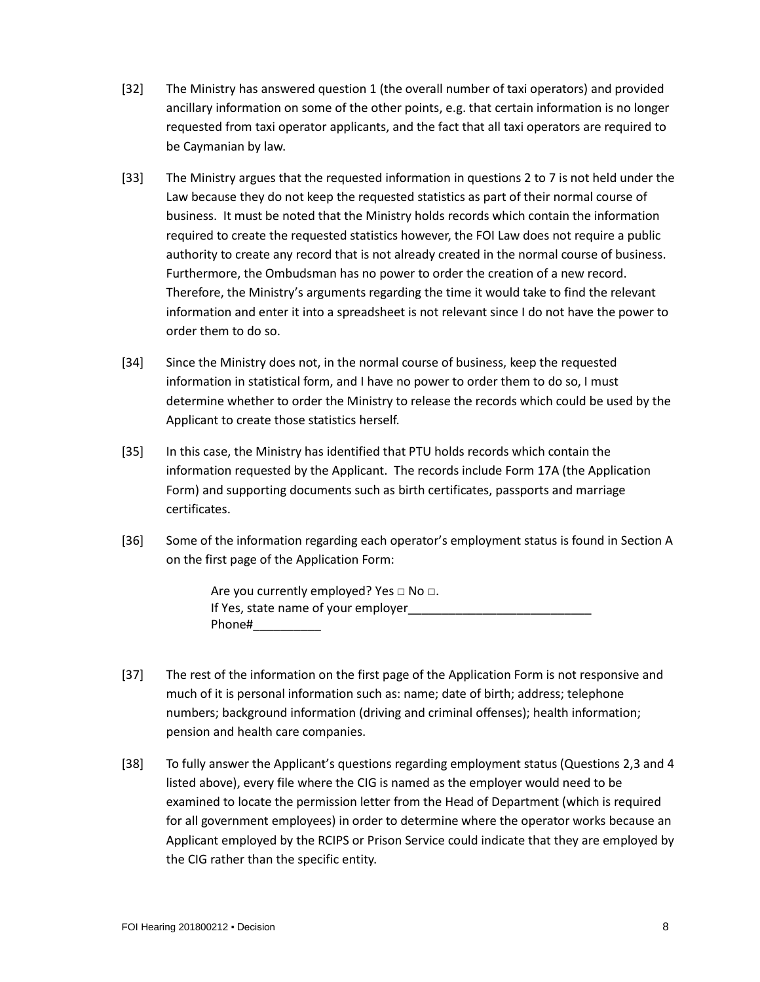- [32] The Ministry has answered question 1 (the overall number of taxi operators) and provided ancillary information on some of the other points, e.g. that certain information is no longer requested from taxi operator applicants, and the fact that all taxi operators are required to be Caymanian by law.
- [33] The Ministry argues that the requested information in questions 2 to 7 is not held under the Law because they do not keep the requested statistics as part of their normal course of business. It must be noted that the Ministry holds records which contain the information required to create the requested statistics however, the FOI Law does not require a public authority to create any record that is not already created in the normal course of business. Furthermore, the Ombudsman has no power to order the creation of a new record. Therefore, the Ministry's arguments regarding the time it would take to find the relevant information and enter it into a spreadsheet is not relevant since I do not have the power to order them to do so.
- [34] Since the Ministry does not, in the normal course of business, keep the requested information in statistical form, and I have no power to order them to do so, I must determine whether to order the Ministry to release the records which could be used by the Applicant to create those statistics herself.
- [35] In this case, the Ministry has identified that PTU holds records which contain the information requested by the Applicant. The records include Form 17A (the Application Form) and supporting documents such as birth certificates, passports and marriage certificates.
- [36] Some of the information regarding each operator's employment status is found in Section A on the first page of the Application Form:

Are you currently employed? Yes  $\Box$  No  $\Box$ . If Yes, state name of your employer Phone#\_\_\_\_\_\_\_\_\_\_

- [37] The rest of the information on the first page of the Application Form is not responsive and much of it is personal information such as: name; date of birth; address; telephone numbers; background information (driving and criminal offenses); health information; pension and health care companies.
- [38] To fully answer the Applicant's questions regarding employment status (Questions 2,3 and 4 listed above), every file where the CIG is named as the employer would need to be examined to locate the permission letter from the Head of Department (which is required for all government employees) in order to determine where the operator works because an Applicant employed by the RCIPS or Prison Service could indicate that they are employed by the CIG rather than the specific entity.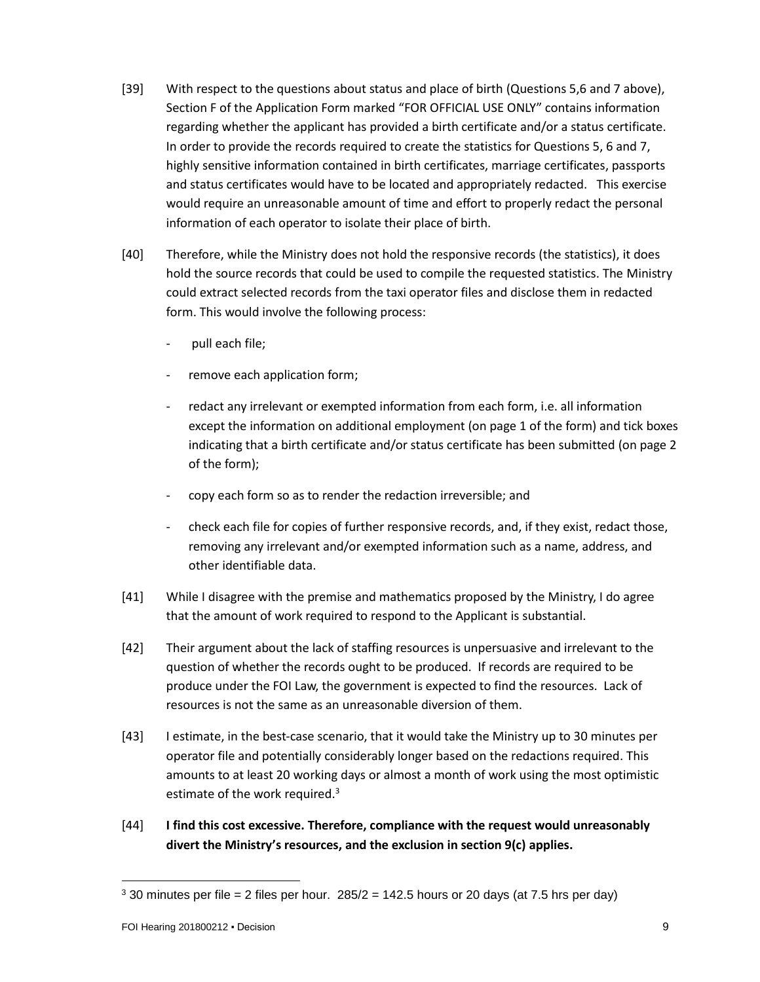- [39] With respect to the questions about status and place of birth (Questions 5,6 and 7 above), Section F of the Application Form marked "FOR OFFICIAL USE ONLY" contains information regarding whether the applicant has provided a birth certificate and/or a status certificate. In order to provide the records required to create the statistics for Questions 5, 6 and 7, highly sensitive information contained in birth certificates, marriage certificates, passports and status certificates would have to be located and appropriately redacted. This exercise would require an unreasonable amount of time and effort to properly redact the personal information of each operator to isolate their place of birth.
- [40] Therefore, while the Ministry does not hold the responsive records (the statistics), it does hold the source records that could be used to compile the requested statistics. The Ministry could extract selected records from the taxi operator files and disclose them in redacted form. This would involve the following process:
	- pull each file;
	- remove each application form;
	- redact any irrelevant or exempted information from each form, i.e. all information except the information on additional employment (on page 1 of the form) and tick boxes indicating that a birth certificate and/or status certificate has been submitted (on page 2 of the form);
	- copy each form so as to render the redaction irreversible; and
	- check each file for copies of further responsive records, and, if they exist, redact those, removing any irrelevant and/or exempted information such as a name, address, and other identifiable data.
- [41] While I disagree with the premise and mathematics proposed by the Ministry, I do agree that the amount of work required to respond to the Applicant is substantial.
- [42] Their argument about the lack of staffing resources is unpersuasive and irrelevant to the question of whether the records ought to be produced. If records are required to be produce under the FOI Law, the government is expected to find the resources. Lack of resources is not the same as an unreasonable diversion of them.
- [43] I estimate, in the best-case scenario, that it would take the Ministry up to 30 minutes per operator file and potentially considerably longer based on the redactions required. This amounts to at least 20 working days or almost a month of work using the most optimistic estimate of the work required.<sup>3</sup>
- [44] **I find this cost excessive. Therefore, compliance with the request would unreasonably divert the Ministry's resources, and the exclusion in section 9(c) applies.**

 $\overline{a}$ 

 $3$  30 minutes per file = 2 files per hour. 285/2 = 142.5 hours or 20 days (at 7.5 hrs per day)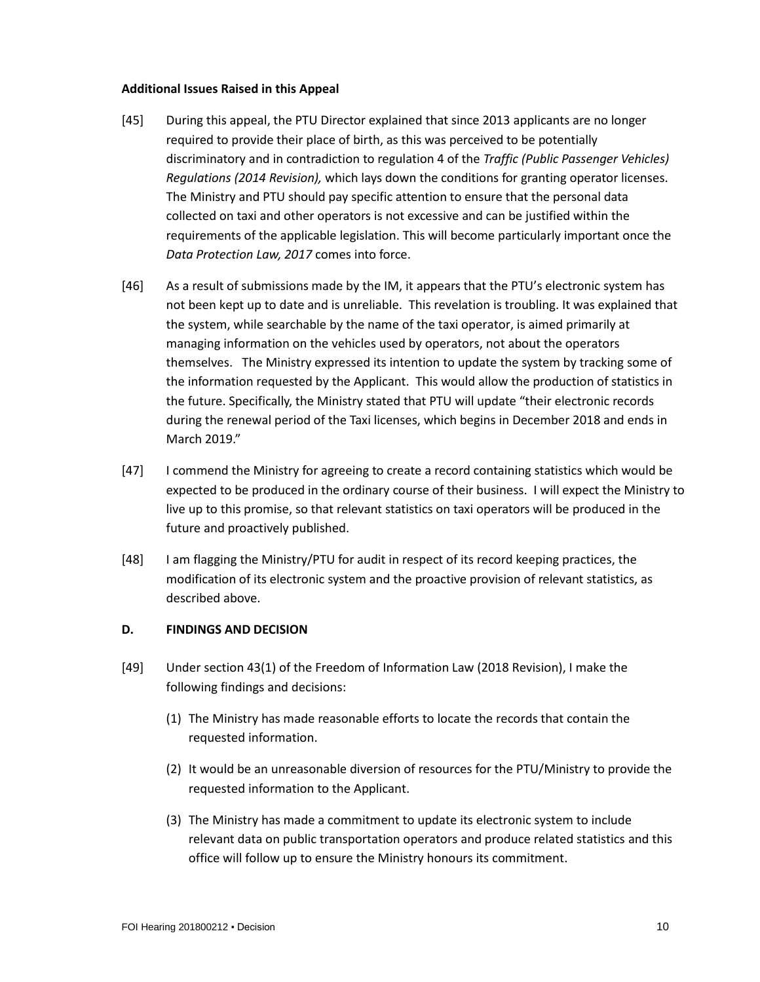#### **Additional Issues Raised in this Appeal**

- [45] During this appeal, the PTU Director explained that since 2013 applicants are no longer required to provide their place of birth, as this was perceived to be potentially discriminatory and in contradiction to regulation 4 of the *Traffic (Public Passenger Vehicles) Regulations (2014 Revision),* which lays down the conditions for granting operator licenses. The Ministry and PTU should pay specific attention to ensure that the personal data collected on taxi and other operators is not excessive and can be justified within the requirements of the applicable legislation. This will become particularly important once the *Data Protection Law, 2017* comes into force.
- [46] As a result of submissions made by the IM, it appears that the PTU's electronic system has not been kept up to date and is unreliable. This revelation is troubling. It was explained that the system, while searchable by the name of the taxi operator, is aimed primarily at managing information on the vehicles used by operators, not about the operators themselves. The Ministry expressed its intention to update the system by tracking some of the information requested by the Applicant. This would allow the production of statistics in the future. Specifically, the Ministry stated that PTU will update "their electronic records during the renewal period of the Taxi licenses, which begins in December 2018 and ends in March 2019."
- [47] I commend the Ministry for agreeing to create a record containing statistics which would be expected to be produced in the ordinary course of their business. I will expect the Ministry to live up to this promise, so that relevant statistics on taxi operators will be produced in the future and proactively published.
- [48] I am flagging the Ministry/PTU for audit in respect of its record keeping practices, the modification of its electronic system and the proactive provision of relevant statistics, as described above.

#### **D. FINDINGS AND DECISION**

- [49] Under section 43(1) of the Freedom of Information Law (2018 Revision), I make the following findings and decisions:
	- (1) The Ministry has made reasonable efforts to locate the records that contain the requested information.
	- (2) It would be an unreasonable diversion of resources for the PTU/Ministry to provide the requested information to the Applicant.
	- (3) The Ministry has made a commitment to update its electronic system to include relevant data on public transportation operators and produce related statistics and this office will follow up to ensure the Ministry honours its commitment.